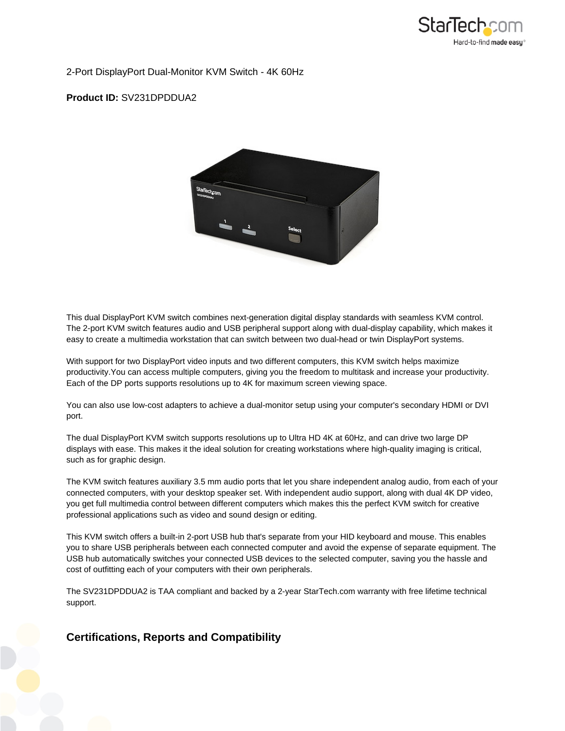

2-Port DisplayPort Dual-Monitor KVM Switch - 4K 60Hz

### **Product ID:** SV231DPDDUA2



This dual DisplayPort KVM switch combines next-generation digital display standards with seamless KVM control. The 2-port KVM switch features audio and USB peripheral support along with dual-display capability, which makes it easy to create a multimedia workstation that can switch between two dual-head or twin DisplayPort systems.

With support for two DisplayPort video inputs and two different computers, this KVM switch helps maximize productivity.You can access multiple computers, giving you the freedom to multitask and increase your productivity. Each of the DP ports supports resolutions up to 4K for maximum screen viewing space.

You can also use low-cost adapters to achieve a dual-monitor setup using your computer's secondary HDMI or DVI port.

The dual DisplayPort KVM switch supports resolutions up to Ultra HD 4K at 60Hz, and can drive two large DP displays with ease. This makes it the ideal solution for creating workstations where high-quality imaging is critical, such as for graphic design.

The KVM switch features auxiliary 3.5 mm audio ports that let you share independent analog audio, from each of your connected computers, with your desktop speaker set. With independent audio support, along with dual 4K DP video, you get full multimedia control between different computers which makes this the perfect KVM switch for creative professional applications such as video and sound design or editing.

This KVM switch offers a built-in 2-port USB hub that's separate from your HID keyboard and mouse. This enables you to share USB peripherals between each connected computer and avoid the expense of separate equipment. The USB hub automatically switches your connected USB devices to the selected computer, saving you the hassle and cost of outfitting each of your computers with their own peripherals.

The SV231DPDDUA2 is TAA compliant and backed by a 2-year StarTech.com warranty with free lifetime technical support.

# **Certifications, Reports and Compatibility**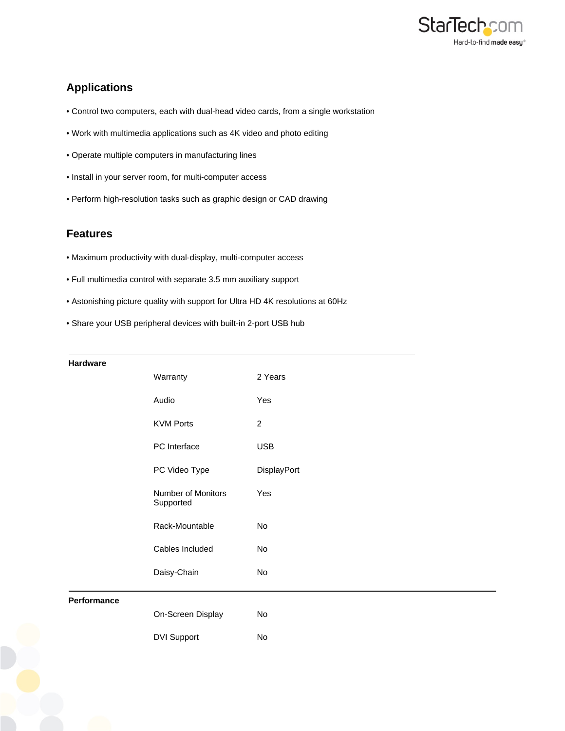

# **Applications**

- Control two computers, each with dual-head video cards, from a single workstation
- Work with multimedia applications such as 4K video and photo editing
- Operate multiple computers in manufacturing lines
- Install in your server room, for multi-computer access
- Perform high-resolution tasks such as graphic design or CAD drawing

## **Features**

- Maximum productivity with dual-display, multi-computer access
- Full multimedia control with separate 3.5 mm auxiliary support
- Astonishing picture quality with support for Ultra HD 4K resolutions at 60Hz
- Share your USB peripheral devices with built-in 2-port USB hub

#### **Hardware**

| <b>Haruware</b> |                                 |                |
|-----------------|---------------------------------|----------------|
|                 | Warranty                        | 2 Years        |
|                 | Audio                           | Yes            |
|                 | <b>KVM Ports</b>                | $\overline{c}$ |
|                 | PC Interface                    | <b>USB</b>     |
|                 | PC Video Type                   | DisplayPort    |
|                 | Number of Monitors<br>Supported | Yes            |
|                 | Rack-Mountable                  | No             |
|                 | Cables Included                 | No             |
|                 | Daisy-Chain                     | No             |
| Performance     |                                 |                |
|                 | On-Screen Display               | No             |
|                 | <b>DVI Support</b>              | No             |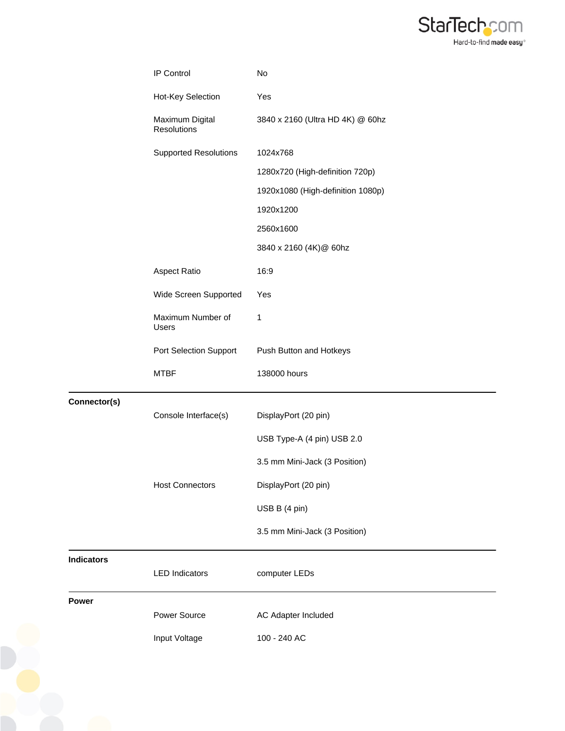

|                   | IP Control                            | No                                |
|-------------------|---------------------------------------|-----------------------------------|
|                   | Hot-Key Selection                     | Yes                               |
|                   | Maximum Digital<br><b>Resolutions</b> | 3840 x 2160 (Ultra HD 4K) @ 60hz  |
|                   | <b>Supported Resolutions</b>          | 1024x768                          |
|                   |                                       | 1280x720 (High-definition 720p)   |
|                   |                                       | 1920x1080 (High-definition 1080p) |
|                   |                                       | 1920x1200                         |
|                   |                                       | 2560x1600                         |
|                   |                                       | 3840 x 2160 (4K)@ 60hz            |
|                   | <b>Aspect Ratio</b>                   | 16:9                              |
|                   | Wide Screen Supported                 | Yes                               |
|                   | Maximum Number of<br>Users            | 1                                 |
|                   | Port Selection Support                | Push Button and Hotkeys           |
|                   | <b>MTBF</b>                           | 138000 hours                      |
|                   |                                       |                                   |
| Connector(s)      | Console Interface(s)                  | DisplayPort (20 pin)              |
|                   |                                       | USB Type-A (4 pin) USB 2.0        |
|                   |                                       |                                   |
|                   |                                       | 3.5 mm Mini-Jack (3 Position)     |
|                   | <b>Host Connectors</b>                | DisplayPort (20 pin)              |
|                   |                                       | USB B (4 pin)                     |
|                   |                                       | 3.5 mm Mini-Jack (3 Position)     |
| <b>Indicators</b> | <b>LED Indicators</b>                 | computer LEDs                     |
| <b>Power</b>      | Power Source                          | AC Adapter Included               |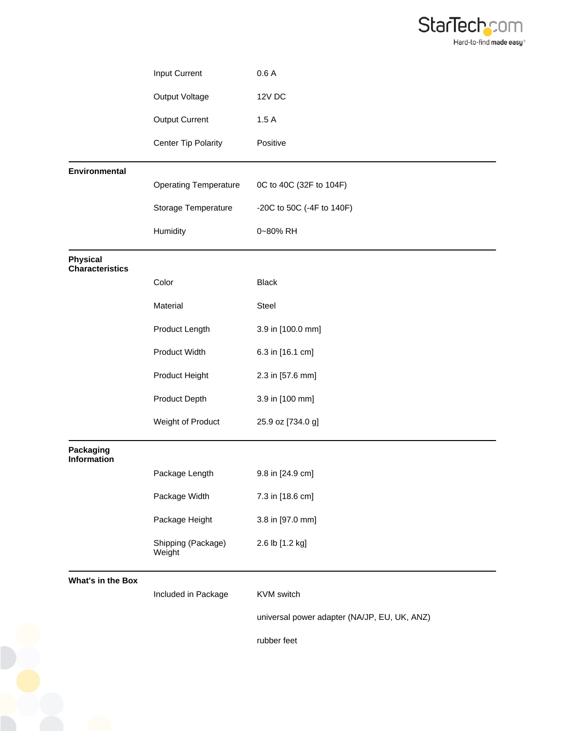

|                                           | Input Current                | 0.6A                                         |
|-------------------------------------------|------------------------------|----------------------------------------------|
|                                           | Output Voltage               | <b>12V DC</b>                                |
|                                           | <b>Output Current</b>        | 1.5A                                         |
|                                           | Center Tip Polarity          | Positive                                     |
| Environmental                             |                              |                                              |
|                                           | <b>Operating Temperature</b> | 0C to 40C (32F to 104F)                      |
|                                           | Storage Temperature          | -20C to 50C (-4F to 140F)                    |
|                                           | Humidity                     | 0~80% RH                                     |
| <b>Physical</b><br><b>Characteristics</b> |                              |                                              |
|                                           | Color                        | <b>Black</b>                                 |
|                                           | Material                     | Steel                                        |
|                                           | Product Length               | 3.9 in [100.0 mm]                            |
|                                           | Product Width                | 6.3 in [16.1 cm]                             |
|                                           | Product Height               | 2.3 in [57.6 mm]                             |
|                                           | Product Depth                | 3.9 in [100 mm]                              |
|                                           | Weight of Product            | 25.9 oz [734.0 g]                            |
| <b>Packaging</b><br><b>Information</b>    |                              |                                              |
|                                           | Package Length               | 9.8 in [24.9 cm]                             |
|                                           | Package Width                | 7.3 in [18.6 cm]                             |
|                                           | Package Height               | 3.8 in [97.0 mm]                             |
|                                           | Shipping (Package)<br>Weight | 2.6 lb [1.2 kg]                              |
| <b>What's in the Box</b>                  | Included in Package          | KVM switch                                   |
|                                           |                              | universal power adapter (NA/JP, EU, UK, ANZ) |

rubber feet